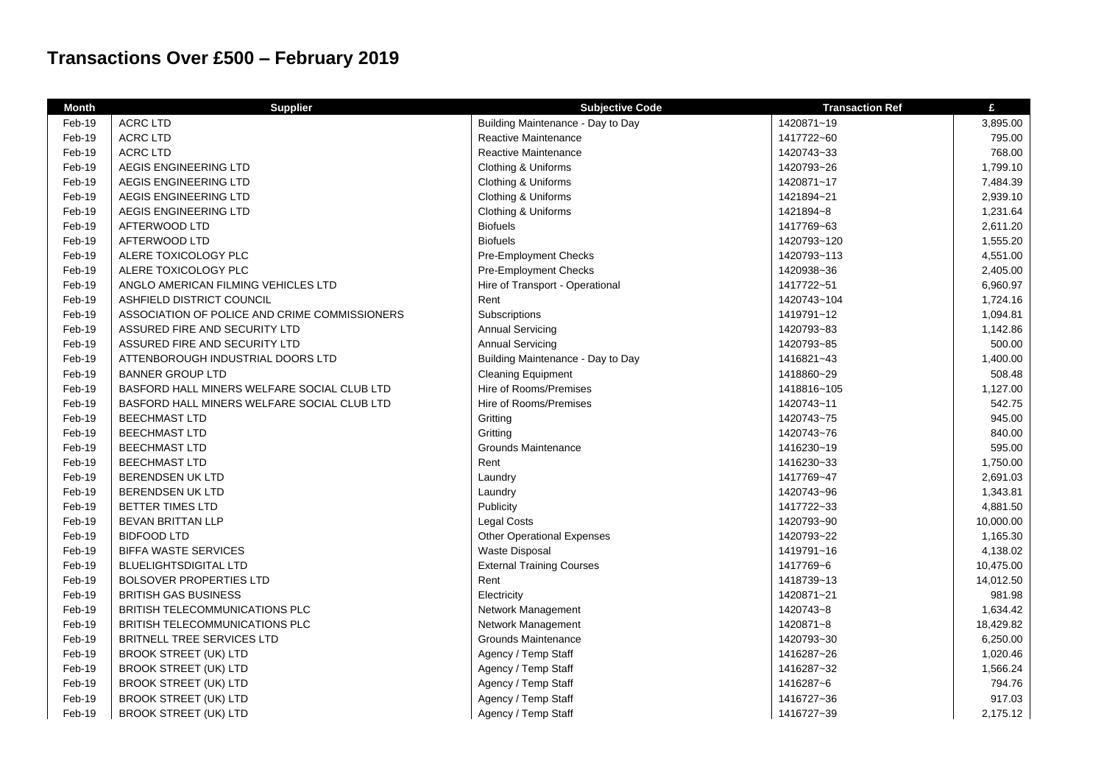## **Transactions Over £500 – February 2019**

| <b>Month</b> | <b>Supplier</b>                               | <b>Subjective Code</b>            | <b>Transaction Ref</b> | £         |
|--------------|-----------------------------------------------|-----------------------------------|------------------------|-----------|
| Feb-19       | <b>ACRC LTD</b>                               | Building Maintenance - Day to Day | 1420871~19             | 3,895.00  |
| Feb-19       | <b>ACRC LTD</b>                               | Reactive Maintenance              | 1417722~60             | 795.00    |
| Feb-19       | <b>ACRC LTD</b>                               | Reactive Maintenance              | 1420743~33             | 768.00    |
| Feb-19       | AEGIS ENGINEERING LTD                         | Clothing & Uniforms               | 1420793~26             | 1,799.10  |
| Feb-19       | AEGIS ENGINEERING LTD                         | Clothing & Uniforms               | 1420871~17             | 7,484.39  |
| Feb-19       | AEGIS ENGINEERING LTD                         | Clothing & Uniforms               | 1421894~21             | 2,939.10  |
| Feb-19       | AEGIS ENGINEERING LTD                         | Clothing & Uniforms               | 1421894~8              | 1,231.64  |
| Feb-19       | AFTERWOOD LTD                                 | <b>Biofuels</b>                   | 1417769~63             | 2,611.20  |
| Feb-19       | AFTERWOOD LTD                                 | <b>Biofuels</b>                   | 1420793~120            | 1,555.20  |
| Feb-19       | ALERE TOXICOLOGY PLC                          | Pre-Employment Checks             | 1420793~113            | 4,551.00  |
| Feb-19       | ALERE TOXICOLOGY PLC                          | Pre-Employment Checks             | 1420938~36             | 2,405.00  |
| Feb-19       | ANGLO AMERICAN FILMING VEHICLES LTD           | Hire of Transport - Operational   | 1417722~51             | 6,960.97  |
| Feb-19       | ASHFIELD DISTRICT COUNCIL                     | Rent                              | 1420743~104            | 1,724.16  |
| Feb-19       | ASSOCIATION OF POLICE AND CRIME COMMISSIONERS | Subscriptions                     | 1419791~12             | 1,094.81  |
| Feb-19       | ASSURED FIRE AND SECURITY LTD                 | <b>Annual Servicing</b>           | 1420793~83             | 1,142.86  |
| Feb-19       | ASSURED FIRE AND SECURITY LTD                 | <b>Annual Servicing</b>           | 1420793~85             | 500.00    |
| Feb-19       | ATTENBOROUGH INDUSTRIAL DOORS LTD             | Building Maintenance - Day to Day | 1416821~43             | 1,400.00  |
| Feb-19       | <b>BANNER GROUP LTD</b>                       | <b>Cleaning Equipment</b>         | 1418860~29             | 508.48    |
| Feb-19       | BASFORD HALL MINERS WELFARE SOCIAL CLUB LTD   | Hire of Rooms/Premises            | 1418816~105            | 1,127.00  |
| Feb-19       | BASFORD HALL MINERS WELFARE SOCIAL CLUB LTD   | Hire of Rooms/Premises            | 1420743~11             | 542.75    |
| Feb-19       | <b>BEECHMAST LTD</b>                          | Gritting                          | 1420743~75             | 945.00    |
| Feb-19       | <b>BEECHMAST LTD</b>                          | Gritting                          | 1420743~76             | 840.00    |
| Feb-19       | <b>BEECHMAST LTD</b>                          | Grounds Maintenance               | 1416230~19             | 595.00    |
| Feb-19       | <b>BEECHMAST LTD</b>                          | Rent                              | 1416230~33             | 1,750.00  |
| Feb-19       | <b>BERENDSEN UK LTD</b>                       | Laundry                           | 1417769~47             | 2,691.03  |
| Feb-19       | <b>BERENDSEN UK LTD</b>                       | Laundry                           | 1420743~96             | 1,343.81  |
| Feb-19       | BETTER TIMES LTD                              | Publicity                         | 1417722~33             | 4,881.50  |
| Feb-19       | <b>BEVAN BRITTAN LLP</b>                      | <b>Legal Costs</b>                | 1420793~90             | 10,000.00 |
| Feb-19       | <b>BIDFOOD LTD</b>                            | <b>Other Operational Expenses</b> | 1420793~22             | 1,165.30  |
| Feb-19       | <b>BIFFA WASTE SERVICES</b>                   | <b>Waste Disposal</b>             | 1419791~16             | 4,138.02  |
| Feb-19       | <b>BLUELIGHTSDIGITAL LTD</b>                  | <b>External Training Courses</b>  | 1417769~6              | 10,475.00 |
| Feb-19       | <b>BOLSOVER PROPERTIES LTD</b>                | Rent                              | 1418739~13             | 14,012.50 |
| Feb-19       | <b>BRITISH GAS BUSINESS</b>                   | Electricity                       | 1420871~21             | 981.98    |
| Feb-19       | BRITISH TELECOMMUNICATIONS PLC                | Network Management                | 1420743~8              | 1,634.42  |
| Feb-19       | BRITISH TELECOMMUNICATIONS PLC                | Network Management                | 1420871~8              | 18,429.82 |
| Feb-19       | <b>BRITNELL TREE SERVICES LTD</b>             | <b>Grounds Maintenance</b>        | 1420793~30             | 6,250.00  |
| Feb-19       | <b>BROOK STREET (UK) LTD</b>                  | Agency / Temp Staff               | 1416287~26             | 1,020.46  |
| Feb-19       | <b>BROOK STREET (UK) LTD</b>                  | Agency / Temp Staff               | 1416287~32             | 1,566.24  |
| Feb-19       | <b>BROOK STREET (UK) LTD</b>                  | Agency / Temp Staff               | 1416287~6              | 794.76    |
| Feb-19       | <b>BROOK STREET (UK) LTD</b>                  | Agency / Temp Staff               | 1416727~36             | 917.03    |
| Feb-19       | <b>BROOK STREET (UK) LTD</b>                  | Agency / Temp Staff               | 1416727~39             | 2,175.12  |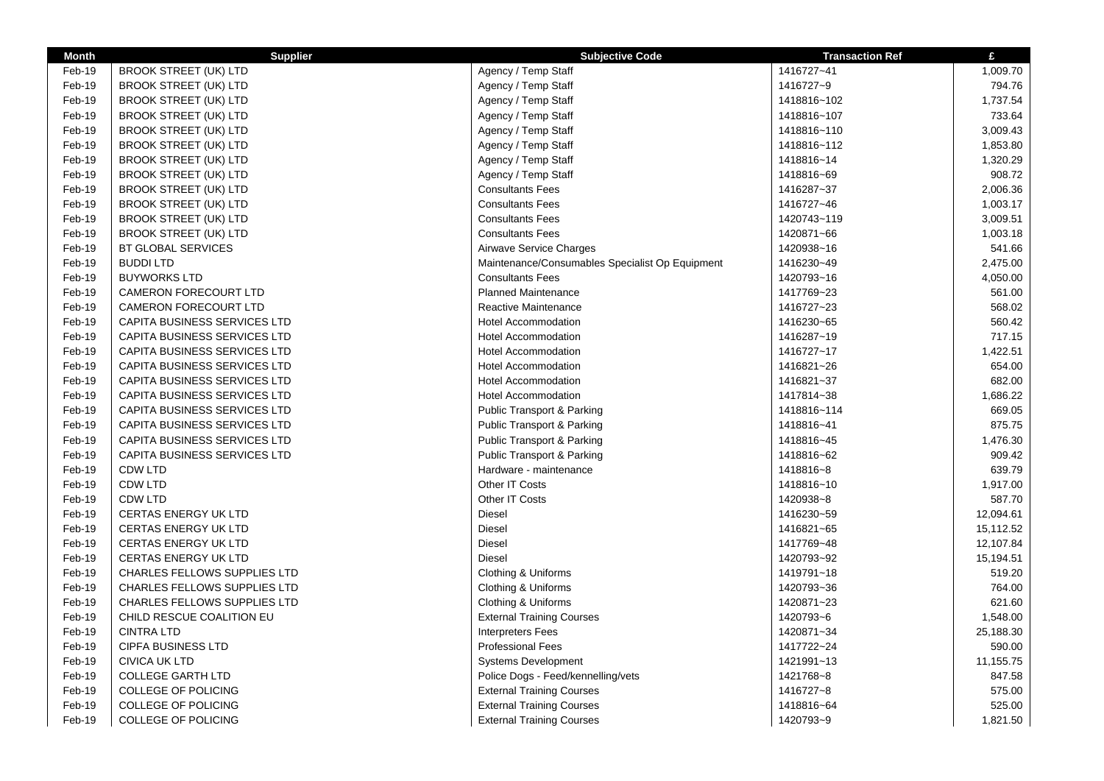| <b>Month</b> | <b>Supplier</b>                     | <b>Subjective Code</b>                          | <b>Transaction Ref</b> | £         |
|--------------|-------------------------------------|-------------------------------------------------|------------------------|-----------|
| Feb-19       | <b>BROOK STREET (UK) LTD</b>        | Agency / Temp Staff                             | 1416727~41             | 1,009.70  |
| Feb-19       | <b>BROOK STREET (UK) LTD</b>        | Agency / Temp Staff                             | 1416727~9              | 794.76    |
| Feb-19       | <b>BROOK STREET (UK) LTD</b>        | Agency / Temp Staff                             | 1418816~102            | 1,737.54  |
| Feb-19       | <b>BROOK STREET (UK) LTD</b>        | Agency / Temp Staff                             | 1418816~107            | 733.64    |
| Feb-19       | <b>BROOK STREET (UK) LTD</b>        | Agency / Temp Staff                             | 1418816~110            | 3,009.43  |
| Feb-19       | <b>BROOK STREET (UK) LTD</b>        | Agency / Temp Staff                             | 1418816~112            | 1,853.80  |
| Feb-19       | <b>BROOK STREET (UK) LTD</b>        | Agency / Temp Staff                             | 1418816~14             | 1,320.29  |
| Feb-19       | <b>BROOK STREET (UK) LTD</b>        | Agency / Temp Staff                             | 1418816~69             | 908.72    |
| Feb-19       | <b>BROOK STREET (UK) LTD</b>        | <b>Consultants Fees</b>                         | 1416287~37             | 2,006.36  |
| Feb-19       | <b>BROOK STREET (UK) LTD</b>        | <b>Consultants Fees</b>                         | 1416727~46             | 1,003.17  |
| Feb-19       | <b>BROOK STREET (UK) LTD</b>        | <b>Consultants Fees</b>                         | 1420743~119            | 3,009.51  |
| Feb-19       | <b>BROOK STREET (UK) LTD</b>        | <b>Consultants Fees</b>                         | 1420871~66             | 1,003.18  |
| Feb-19       | <b>BT GLOBAL SERVICES</b>           | Airwave Service Charges                         | 1420938~16             | 541.66    |
| Feb-19       | <b>BUDDI LTD</b>                    | Maintenance/Consumables Specialist Op Equipment | 1416230~49             | 2,475.00  |
| Feb-19       | <b>BUYWORKS LTD</b>                 | <b>Consultants Fees</b>                         | 1420793~16             | 4,050.00  |
| Feb-19       | <b>CAMERON FORECOURT LTD</b>        | <b>Planned Maintenance</b>                      | 1417769~23             | 561.00    |
| Feb-19       | <b>CAMERON FORECOURT LTD</b>        | <b>Reactive Maintenance</b>                     | 1416727~23             | 568.02    |
| Feb-19       | <b>CAPITA BUSINESS SERVICES LTD</b> | <b>Hotel Accommodation</b>                      | 1416230~65             | 560.42    |
| Feb-19       | CAPITA BUSINESS SERVICES LTD        | <b>Hotel Accommodation</b>                      | 1416287~19             | 717.15    |
| Feb-19       | CAPITA BUSINESS SERVICES LTD        | <b>Hotel Accommodation</b>                      | 1416727~17             | 1,422.51  |
| Feb-19       | CAPITA BUSINESS SERVICES LTD        | <b>Hotel Accommodation</b>                      | 1416821~26             | 654.00    |
| Feb-19       | CAPITA BUSINESS SERVICES LTD        | <b>Hotel Accommodation</b>                      | 1416821~37             | 682.00    |
|              |                                     |                                                 |                        |           |
| Feb-19       | CAPITA BUSINESS SERVICES LTD        | <b>Hotel Accommodation</b>                      | 1417814~38             | 1,686.22  |
| Feb-19       | CAPITA BUSINESS SERVICES LTD        | Public Transport & Parking                      | 1418816~114            | 669.05    |
| Feb-19       | CAPITA BUSINESS SERVICES LTD        | Public Transport & Parking                      | 1418816~41             | 875.75    |
| Feb-19       | CAPITA BUSINESS SERVICES LTD        | Public Transport & Parking                      | 1418816~45             | 1,476.30  |
| Feb-19       | <b>CAPITA BUSINESS SERVICES LTD</b> | <b>Public Transport &amp; Parking</b>           | 1418816~62             | 909.42    |
| Feb-19       | <b>CDW LTD</b>                      | Hardware - maintenance                          | 1418816~8              | 639.79    |
| Feb-19       | <b>CDW LTD</b>                      | Other IT Costs                                  | 1418816~10             | 1,917.00  |
| Feb-19       | <b>CDW LTD</b>                      | Other IT Costs                                  | 1420938~8              | 587.70    |
| Feb-19       | <b>CERTAS ENERGY UK LTD</b>         | <b>Diesel</b>                                   | 1416230~59             | 12,094.61 |
| Feb-19       | <b>CERTAS ENERGY UK LTD</b>         | <b>Diesel</b>                                   | 1416821~65             | 15,112.52 |
| Feb-19       | <b>CERTAS ENERGY UK LTD</b>         | <b>Diesel</b>                                   | 1417769~48             | 12,107.84 |
| Feb-19       | <b>CERTAS ENERGY UK LTD</b>         | <b>Diesel</b>                                   | 1420793~92             | 15,194.51 |
| Feb-19       | <b>CHARLES FELLOWS SUPPLIES LTD</b> | Clothing & Uniforms                             | 1419791~18             | 519.20    |
| Feb-19       | <b>CHARLES FELLOWS SUPPLIES LTD</b> | Clothing & Uniforms                             | 1420793~36             | 764.00    |
| Feb-19       | <b>CHARLES FELLOWS SUPPLIES LTD</b> | Clothing & Uniforms                             | 1420871~23             | 621.60    |
| Feb-19       | CHILD RESCUE COALITION EU           | <b>External Training Courses</b>                | 1420793~6              | 1,548.00  |
| Feb-19       | <b>CINTRA LTD</b>                   | <b>Interpreters Fees</b>                        | 1420871~34             | 25,188.30 |
| Feb-19       | <b>CIPFA BUSINESS LTD</b>           | <b>Professional Fees</b>                        | 1417722~24             | 590.00    |
| Feb-19       | <b>CIVICA UK LTD</b>                | <b>Systems Development</b>                      | 1421991~13             | 11,155.75 |
| Feb-19       | <b>COLLEGE GARTH LTD</b>            | Police Dogs - Feed/kennelling/vets              | 1421768~8              | 847.58    |
| Feb-19       | <b>COLLEGE OF POLICING</b>          | <b>External Training Courses</b>                | 1416727~8              | 575.00    |
| Feb-19       | <b>COLLEGE OF POLICING</b>          | <b>External Training Courses</b>                | 1418816~64             | 525.00    |
| Feb-19       | <b>COLLEGE OF POLICING</b>          | <b>External Training Courses</b>                | 1420793~9              | 1,821.50  |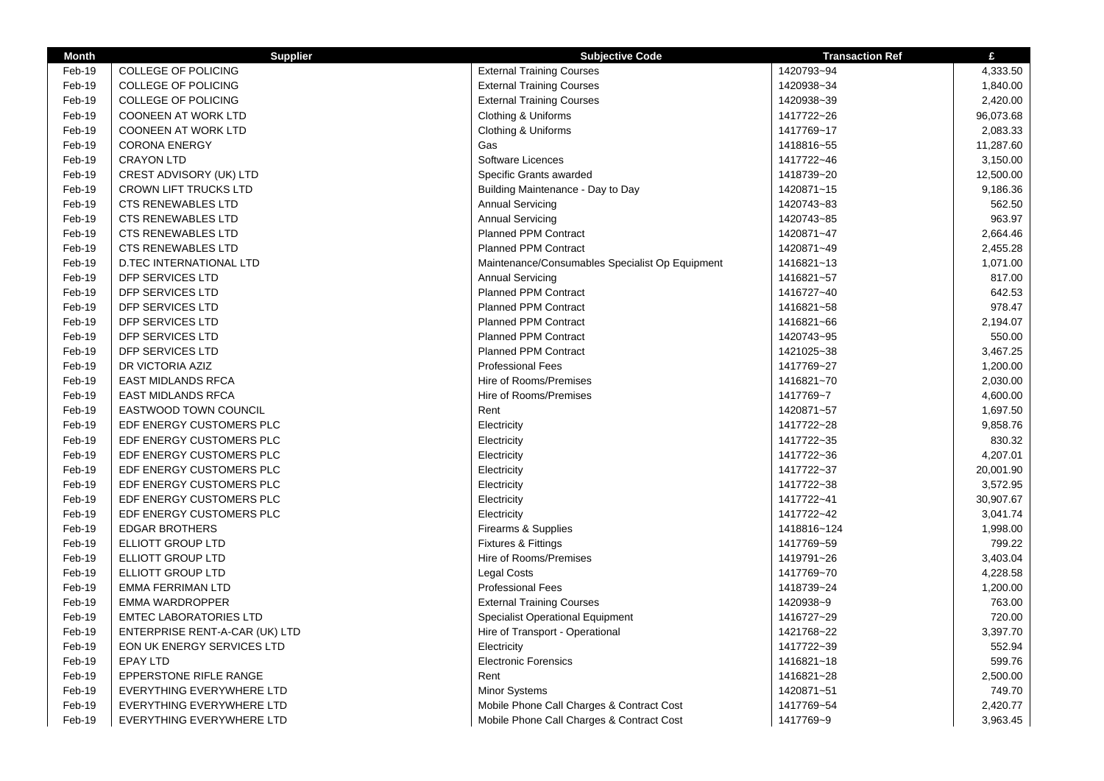| <b>Month</b> | <b>Supplier</b>                | <b>Subjective Code</b>                          | <b>Transaction Ref</b> | £         |
|--------------|--------------------------------|-------------------------------------------------|------------------------|-----------|
| Feb-19       | <b>COLLEGE OF POLICING</b>     | <b>External Training Courses</b>                | 1420793~94             | 4,333.50  |
| Feb-19       | <b>COLLEGE OF POLICING</b>     | <b>External Training Courses</b>                | 1420938~34             | 1,840.00  |
| Feb-19       | <b>COLLEGE OF POLICING</b>     | <b>External Training Courses</b>                | 1420938~39             | 2,420.00  |
| Feb-19       | <b>COONEEN AT WORK LTD</b>     | Clothing & Uniforms                             | 1417722~26             | 96,073.68 |
| Feb-19       | <b>COONEEN AT WORK LTD</b>     | Clothing & Uniforms                             | 1417769~17             | 2,083.33  |
| Feb-19       | <b>CORONA ENERGY</b>           | Gas                                             | 1418816~55             | 11,287.60 |
| Feb-19       | <b>CRAYON LTD</b>              | Software Licences                               | 1417722~46             | 3,150.00  |
| Feb-19       | CREST ADVISORY (UK) LTD        | Specific Grants awarded                         | 1418739~20             | 12,500.00 |
| Feb-19       | <b>CROWN LIFT TRUCKS LTD</b>   | Building Maintenance - Day to Day               | 1420871~15             | 9,186.36  |
| Feb-19       | <b>CTS RENEWABLES LTD</b>      | <b>Annual Servicing</b>                         | 1420743~83             | 562.50    |
| Feb-19       | <b>CTS RENEWABLES LTD</b>      | <b>Annual Servicing</b>                         | 1420743~85             | 963.97    |
| Feb-19       | <b>CTS RENEWABLES LTD</b>      | Planned PPM Contract                            | 1420871~47             | 2,664.46  |
| Feb-19       | <b>CTS RENEWABLES LTD</b>      | Planned PPM Contract                            | 1420871~49             | 2,455.28  |
| Feb-19       | D.TEC INTERNATIONAL LTD        | Maintenance/Consumables Specialist Op Equipment | 1416821~13             | 1,071.00  |
| Feb-19       | <b>DFP SERVICES LTD</b>        | <b>Annual Servicing</b>                         | 1416821~57             | 817.00    |
| Feb-19       | DFP SERVICES LTD               | Planned PPM Contract                            | 1416727~40             | 642.53    |
| Feb-19       | DFP SERVICES LTD               | Planned PPM Contract                            | 1416821~58             | 978.47    |
| Feb-19       | DFP SERVICES LTD               | Planned PPM Contract                            | 1416821~66             | 2,194.07  |
| Feb-19       | DFP SERVICES LTD               | Planned PPM Contract                            | 1420743~95             | 550.00    |
| Feb-19       | DFP SERVICES LTD               | Planned PPM Contract                            | 1421025~38             | 3,467.25  |
| Feb-19       | DR VICTORIA AZIZ               | <b>Professional Fees</b>                        | 1417769~27             | 1,200.00  |
| Feb-19       | <b>EAST MIDLANDS RFCA</b>      | Hire of Rooms/Premises                          | 1416821~70             | 2,030.00  |
| Feb-19       | <b>EAST MIDLANDS RFCA</b>      | Hire of Rooms/Premises                          | 1417769~7              | 4,600.00  |
| Feb-19       | <b>EASTWOOD TOWN COUNCIL</b>   | Rent                                            | 1420871~57             | 1,697.50  |
| Feb-19       | EDF ENERGY CUSTOMERS PLC       | Electricity                                     | 1417722~28             | 9,858.76  |
| Feb-19       | EDF ENERGY CUSTOMERS PLC       | Electricity                                     | 1417722~35             | 830.32    |
| Feb-19       | EDF ENERGY CUSTOMERS PLC       | Electricity                                     | 1417722~36             | 4,207.01  |
| Feb-19       | EDF ENERGY CUSTOMERS PLC       | Electricity                                     | 1417722~37             | 20,001.90 |
| Feb-19       | EDF ENERGY CUSTOMERS PLC       | Electricity                                     | 1417722~38             | 3,572.95  |
| Feb-19       | EDF ENERGY CUSTOMERS PLC       | Electricity                                     | 1417722~41             | 30,907.67 |
| Feb-19       | EDF ENERGY CUSTOMERS PLC       | Electricity                                     | 1417722~42             | 3,041.74  |
| Feb-19       | <b>EDGAR BROTHERS</b>          | Firearms & Supplies                             | 1418816~124            | 1,998.00  |
| Feb-19       | <b>ELLIOTT GROUP LTD</b>       | <b>Fixtures &amp; Fittings</b>                  | 1417769~59             | 799.22    |
| Feb-19       | <b>ELLIOTT GROUP LTD</b>       | Hire of Rooms/Premises                          | 1419791~26             | 3,403.04  |
| Feb-19       | <b>ELLIOTT GROUP LTD</b>       | <b>Legal Costs</b>                              | 1417769~70             | 4,228.58  |
| Feb-19       | <b>EMMA FERRIMAN LTD</b>       | <b>Professional Fees</b>                        | 1418739~24             | 1,200.00  |
| Feb-19       | <b>EMMA WARDROPPER</b>         | <b>External Training Courses</b>                | 1420938~9              | 763.00    |
| Feb-19       | <b>EMTEC LABORATORIES LTD</b>  | <b>Specialist Operational Equipment</b>         | 1416727~29             | 720.00    |
| Feb-19       | ENTERPRISE RENT-A-CAR (UK) LTD | Hire of Transport - Operational                 | 1421768~22             | 3,397.70  |
| Feb-19       | EON UK ENERGY SERVICES LTD     | Electricity                                     | 1417722~39             | 552.94    |
| Feb-19       | <b>EPAY LTD</b>                | <b>Electronic Forensics</b>                     | 1416821~18             | 599.76    |
| Feb-19       | EPPERSTONE RIFLE RANGE         | Rent                                            | 1416821~28             | 2,500.00  |
| Feb-19       | EVERYTHING EVERYWHERE LTD      | Minor Systems                                   | 1420871~51             | 749.70    |
| Feb-19       | EVERYTHING EVERYWHERE LTD      | Mobile Phone Call Charges & Contract Cost       | 1417769~54             | 2,420.77  |
| Feb-19       | EVERYTHING EVERYWHERE LTD      | Mobile Phone Call Charges & Contract Cost       | 1417769~9              | 3,963.45  |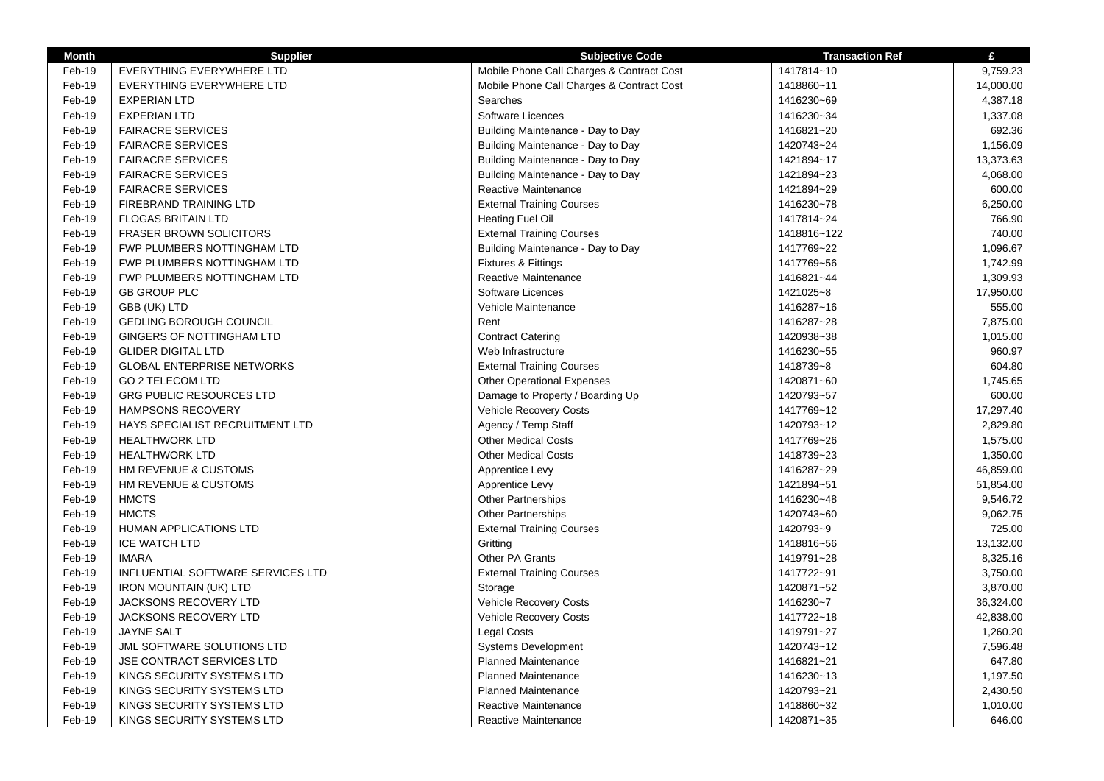| <b>Month</b> | <b>Supplier</b>                    | <b>Subjective Code</b>                    | <b>Transaction Ref</b> | £         |
|--------------|------------------------------------|-------------------------------------------|------------------------|-----------|
| Feb-19       | <b>EVERYTHING EVERYWHERE LTD</b>   | Mobile Phone Call Charges & Contract Cost | 1417814~10             | 9,759.23  |
| Feb-19       | EVERYTHING EVERYWHERE LTD          | Mobile Phone Call Charges & Contract Cost | 1418860~11             | 14,000.00 |
| Feb-19       | <b>EXPERIAN LTD</b>                | Searches                                  | 1416230~69             | 4,387.18  |
| Feb-19       | <b>EXPERIAN LTD</b>                | Software Licences                         | 1416230~34             | 1,337.08  |
| Feb-19       | <b>FAIRACRE SERVICES</b>           | Building Maintenance - Day to Day         | 1416821~20             | 692.36    |
| Feb-19       | <b>FAIRACRE SERVICES</b>           | Building Maintenance - Day to Day         | 1420743~24             | 1,156.09  |
| Feb-19       | <b>FAIRACRE SERVICES</b>           | Building Maintenance - Day to Day         | 1421894~17             | 13,373.63 |
| Feb-19       | <b>FAIRACRE SERVICES</b>           | Building Maintenance - Day to Day         | 1421894~23             | 4,068.00  |
| Feb-19       | <b>FAIRACRE SERVICES</b>           | Reactive Maintenance                      | 1421894~29             | 600.00    |
| Feb-19       | FIREBRAND TRAINING LTD             | <b>External Training Courses</b>          | 1416230~78             | 6,250.00  |
| Feb-19       | <b>FLOGAS BRITAIN LTD</b>          | <b>Heating Fuel Oil</b>                   | 1417814~24             | 766.90    |
| Feb-19       | <b>FRASER BROWN SOLICITORS</b>     | <b>External Training Courses</b>          | 1418816~122            | 740.00    |
| Feb-19       | FWP PLUMBERS NOTTINGHAM LTD        | Building Maintenance - Day to Day         | 1417769~22             | 1,096.67  |
| Feb-19       | FWP PLUMBERS NOTTINGHAM LTD        | Fixtures & Fittings                       | 1417769~56             | 1,742.99  |
| Feb-19       | <b>FWP PLUMBERS NOTTINGHAM LTD</b> | <b>Reactive Maintenance</b>               | 1416821~44             | 1,309.93  |
| Feb-19       | <b>GB GROUP PLC</b>                | Software Licences                         | 1421025~8              | 17,950.00 |
| Feb-19       | GBB (UK) LTD                       | Vehicle Maintenance                       | 1416287~16             | 555.00    |
| Feb-19       | <b>GEDLING BOROUGH COUNCIL</b>     | Rent                                      | 1416287~28             | 7,875.00  |
| Feb-19       | GINGERS OF NOTTINGHAM LTD          | <b>Contract Catering</b>                  | 1420938~38             | 1,015.00  |
| Feb-19       | <b>GLIDER DIGITAL LTD</b>          | Web Infrastructure                        | 1416230~55             | 960.97    |
| Feb-19       | <b>GLOBAL ENTERPRISE NETWORKS</b>  | <b>External Training Courses</b>          | 1418739~8              | 604.80    |
| Feb-19       | <b>GO 2 TELECOM LTD</b>            | <b>Other Operational Expenses</b>         | 1420871~60             | 1,745.65  |
| Feb-19       | <b>GRG PUBLIC RESOURCES LTD</b>    | Damage to Property / Boarding Up          | 1420793~57             | 600.00    |
| Feb-19       | <b>HAMPSONS RECOVERY</b>           | Vehicle Recovery Costs                    | 1417769~12             | 17,297.40 |
| Feb-19       | HAYS SPECIALIST RECRUITMENT LTD    | Agency / Temp Staff                       | 1420793~12             | 2,829.80  |
| Feb-19       | <b>HEALTHWORK LTD</b>              | <b>Other Medical Costs</b>                | 1417769~26             | 1,575.00  |
| Feb-19       | <b>HEALTHWORK LTD</b>              | <b>Other Medical Costs</b>                | 1418739~23             | 1,350.00  |
| Feb-19       | HM REVENUE & CUSTOMS               | Apprentice Levy                           | 1416287~29             | 46,859.00 |
| Feb-19       | HM REVENUE & CUSTOMS               | Apprentice Levy                           | 1421894~51             | 51,854.00 |
| Feb-19       | <b>HMCTS</b>                       | <b>Other Partnerships</b>                 | 1416230~48             | 9,546.72  |
| Feb-19       | <b>HMCTS</b>                       | <b>Other Partnerships</b>                 | 1420743~60             | 9,062.75  |
| Feb-19       | HUMAN APPLICATIONS LTD             | <b>External Training Courses</b>          | 1420793~9              | 725.00    |
| Feb-19       | <b>ICE WATCH LTD</b>               | Gritting                                  | 1418816~56             | 13,132.00 |
| Feb-19       | <b>IMARA</b>                       | Other PA Grants                           | 1419791~28             | 8,325.16  |
| Feb-19       | INFLUENTIAL SOFTWARE SERVICES LTD  | <b>External Training Courses</b>          | 1417722~91             | 3,750.00  |
| Feb-19       | <b>IRON MOUNTAIN (UK) LTD</b>      | Storage                                   | 1420871~52             | 3,870.00  |
| Feb-19       | <b>JACKSONS RECOVERY LTD</b>       | <b>Vehicle Recovery Costs</b>             | 1416230~7              | 36,324.00 |
| Feb-19       | <b>JACKSONS RECOVERY LTD</b>       | Vehicle Recovery Costs                    | 1417722~18             | 42,838.00 |
| Feb-19       | JAYNE SALT                         | <b>Legal Costs</b>                        | 1419791~27             | 1,260.20  |
| Feb-19       | JML SOFTWARE SOLUTIONS LTD         | Systems Development                       | 1420743~12             | 7,596.48  |
| Feb-19       | <b>JSE CONTRACT SERVICES LTD</b>   | <b>Planned Maintenance</b>                | 1416821~21             | 647.80    |
| Feb-19       | KINGS SECURITY SYSTEMS LTD         | <b>Planned Maintenance</b>                | 1416230~13             | 1,197.50  |
| Feb-19       | KINGS SECURITY SYSTEMS LTD         | <b>Planned Maintenance</b>                | 1420793~21             | 2,430.50  |
| Feb-19       | KINGS SECURITY SYSTEMS LTD         | Reactive Maintenance                      | 1418860~32             | 1,010.00  |
| Feb-19       | KINGS SECURITY SYSTEMS LTD         | Reactive Maintenance                      | 1420871~35             | 646.00    |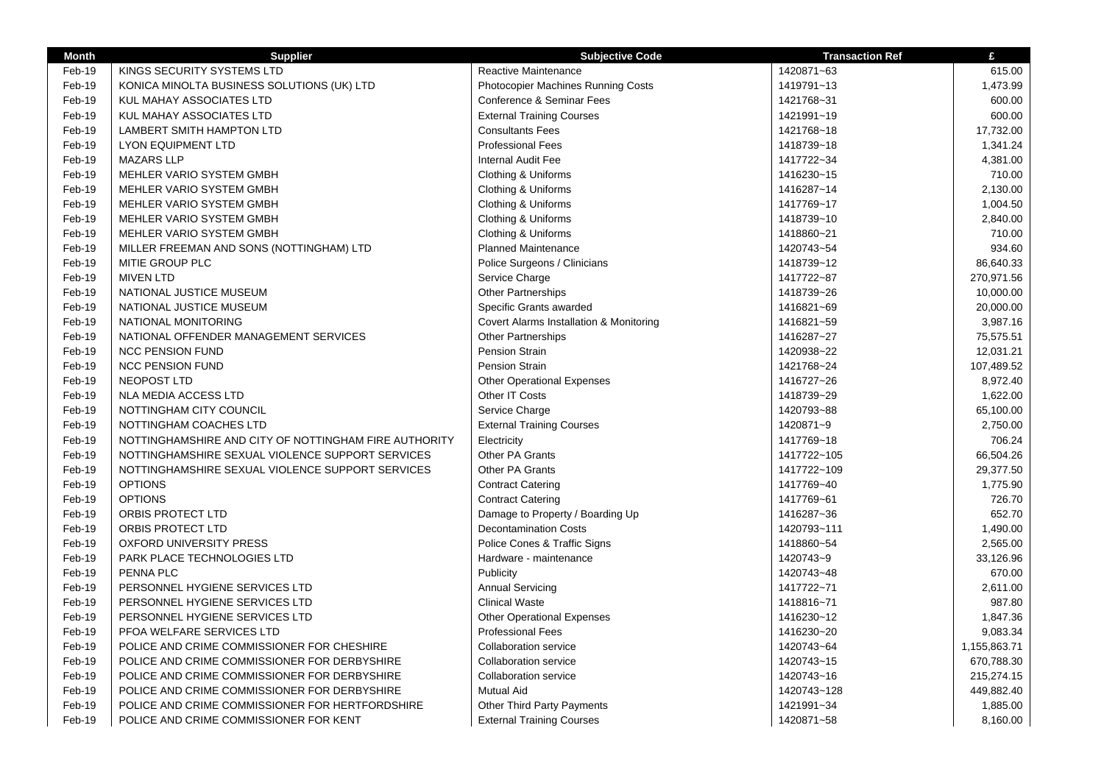| <b>Month</b> | <b>Supplier</b>                                       | <b>Subjective Code</b>                  | <b>Transaction Ref</b> | £            |
|--------------|-------------------------------------------------------|-----------------------------------------|------------------------|--------------|
| Feb-19       | KINGS SECURITY SYSTEMS LTD                            | Reactive Maintenance                    | 1420871~63             | 615.00       |
| Feb-19       | KONICA MINOLTA BUSINESS SOLUTIONS (UK) LTD            | Photocopier Machines Running Costs      | 1419791~13             | 1,473.99     |
| Feb-19       | KUL MAHAY ASSOCIATES LTD                              | Conference & Seminar Fees               | 1421768~31             | 600.00       |
| Feb-19       | KUL MAHAY ASSOCIATES LTD                              | <b>External Training Courses</b>        | 1421991~19             | 600.00       |
| Feb-19       | LAMBERT SMITH HAMPTON LTD                             | <b>Consultants Fees</b>                 | 1421768~18             | 17,732.00    |
| Feb-19       | <b>LYON EQUIPMENT LTD</b>                             | <b>Professional Fees</b>                | 1418739~18             | 1,341.24     |
| Feb-19       | <b>MAZARS LLP</b>                                     | <b>Internal Audit Fee</b>               | 1417722~34             | 4,381.00     |
| Feb-19       | MEHLER VARIO SYSTEM GMBH                              | Clothing & Uniforms                     | 1416230~15             | 710.00       |
| Feb-19       | MEHLER VARIO SYSTEM GMBH                              | Clothing & Uniforms                     | 1416287~14             | 2,130.00     |
| Feb-19       | MEHLER VARIO SYSTEM GMBH                              | Clothing & Uniforms                     | 1417769~17             | 1,004.50     |
| Feb-19       | MEHLER VARIO SYSTEM GMBH                              | Clothing & Uniforms                     | 1418739~10             | 2,840.00     |
| Feb-19       | MEHLER VARIO SYSTEM GMBH                              | Clothing & Uniforms                     | 1418860~21             | 710.00       |
| Feb-19       | MILLER FREEMAN AND SONS (NOTTINGHAM) LTD              | <b>Planned Maintenance</b>              | 1420743~54             | 934.60       |
| Feb-19       | MITIE GROUP PLC                                       | Police Surgeons / Clinicians            | 1418739~12             | 86,640.33    |
| Feb-19       | <b>MIVEN LTD</b>                                      | Service Charge                          | 1417722~87             | 270,971.56   |
| Feb-19       | NATIONAL JUSTICE MUSEUM                               | <b>Other Partnerships</b>               | 1418739~26             | 10,000.00    |
| Feb-19       | NATIONAL JUSTICE MUSEUM                               | Specific Grants awarded                 | 1416821~69             | 20,000.00    |
| Feb-19       | NATIONAL MONITORING                                   | Covert Alarms Installation & Monitoring | 1416821~59             | 3,987.16     |
| Feb-19       | NATIONAL OFFENDER MANAGEMENT SERVICES                 | Other Partnerships                      | 1416287~27             | 75,575.51    |
| Feb-19       | <b>NCC PENSION FUND</b>                               | Pension Strain                          | 1420938~22             | 12,031.21    |
| Feb-19       | <b>NCC PENSION FUND</b>                               | Pension Strain                          | 1421768~24             | 107,489.52   |
| Feb-19       | NEOPOST LTD                                           | <b>Other Operational Expenses</b>       | 1416727~26             | 8,972.40     |
| Feb-19       | <b>NLA MEDIA ACCESS LTD</b>                           | Other IT Costs                          | 1418739~29             | 1,622.00     |
| Feb-19       | NOTTINGHAM CITY COUNCIL                               | Service Charge                          | 1420793~88             | 65,100.00    |
| Feb-19       | NOTTINGHAM COACHES LTD                                | <b>External Training Courses</b>        | 1420871~9              | 2,750.00     |
| Feb-19       | NOTTINGHAMSHIRE AND CITY OF NOTTINGHAM FIRE AUTHORITY | Electricity                             | 1417769~18             | 706.24       |
| Feb-19       | NOTTINGHAMSHIRE SEXUAL VIOLENCE SUPPORT SERVICES      | Other PA Grants                         | 1417722~105            | 66,504.26    |
| Feb-19       | NOTTINGHAMSHIRE SEXUAL VIOLENCE SUPPORT SERVICES      | Other PA Grants                         | 1417722~109            | 29,377.50    |
| Feb-19       | <b>OPTIONS</b>                                        | <b>Contract Catering</b>                | 1417769~40             | 1,775.90     |
| Feb-19       | <b>OPTIONS</b>                                        | <b>Contract Catering</b>                | 1417769~61             | 726.70       |
| Feb-19       | ORBIS PROTECT LTD                                     | Damage to Property / Boarding Up        | 1416287~36             | 652.70       |
| Feb-19       | ORBIS PROTECT LTD                                     | <b>Decontamination Costs</b>            | 1420793~111            | 1,490.00     |
| Feb-19       | <b>OXFORD UNIVERSITY PRESS</b>                        | Police Cones & Traffic Signs            | 1418860~54             | 2,565.00     |
| Feb-19       | PARK PLACE TECHNOLOGIES LTD                           | Hardware - maintenance                  | 1420743~9              | 33,126.96    |
| Feb-19       | PENNA PLC                                             | Publicity                               | 1420743~48             | 670.00       |
| Feb-19       | PERSONNEL HYGIENE SERVICES LTD                        | <b>Annual Servicing</b>                 | 1417722~71             | 2,611.00     |
| Feb-19       | PERSONNEL HYGIENE SERVICES LTD                        | <b>Clinical Waste</b>                   | 1418816~71             | 987.80       |
| Feb-19       | PERSONNEL HYGIENE SERVICES LTD                        | <b>Other Operational Expenses</b>       | 1416230~12             | 1,847.36     |
| Feb-19       | PFOA WELFARE SERVICES LTD                             | <b>Professional Fees</b>                | 1416230~20             | 9,083.34     |
| Feb-19       | POLICE AND CRIME COMMISSIONER FOR CHESHIRE            | <b>Collaboration service</b>            | 1420743~64             | 1,155,863.71 |
| Feb-19       | POLICE AND CRIME COMMISSIONER FOR DERBYSHIRE          | Collaboration service                   | 1420743~15             | 670,788.30   |
| Feb-19       | POLICE AND CRIME COMMISSIONER FOR DERBYSHIRE          | <b>Collaboration service</b>            | 1420743~16             | 215,274.15   |
| Feb-19       | POLICE AND CRIME COMMISSIONER FOR DERBYSHIRE          | <b>Mutual Aid</b>                       | 1420743~128            | 449,882.40   |
| Feb-19       | POLICE AND CRIME COMMISSIONER FOR HERTFORDSHIRE       | <b>Other Third Party Payments</b>       | 1421991~34             | 1,885.00     |
| Feb-19       | POLICE AND CRIME COMMISSIONER FOR KENT                | <b>External Training Courses</b>        | 1420871~58             | 8,160.00     |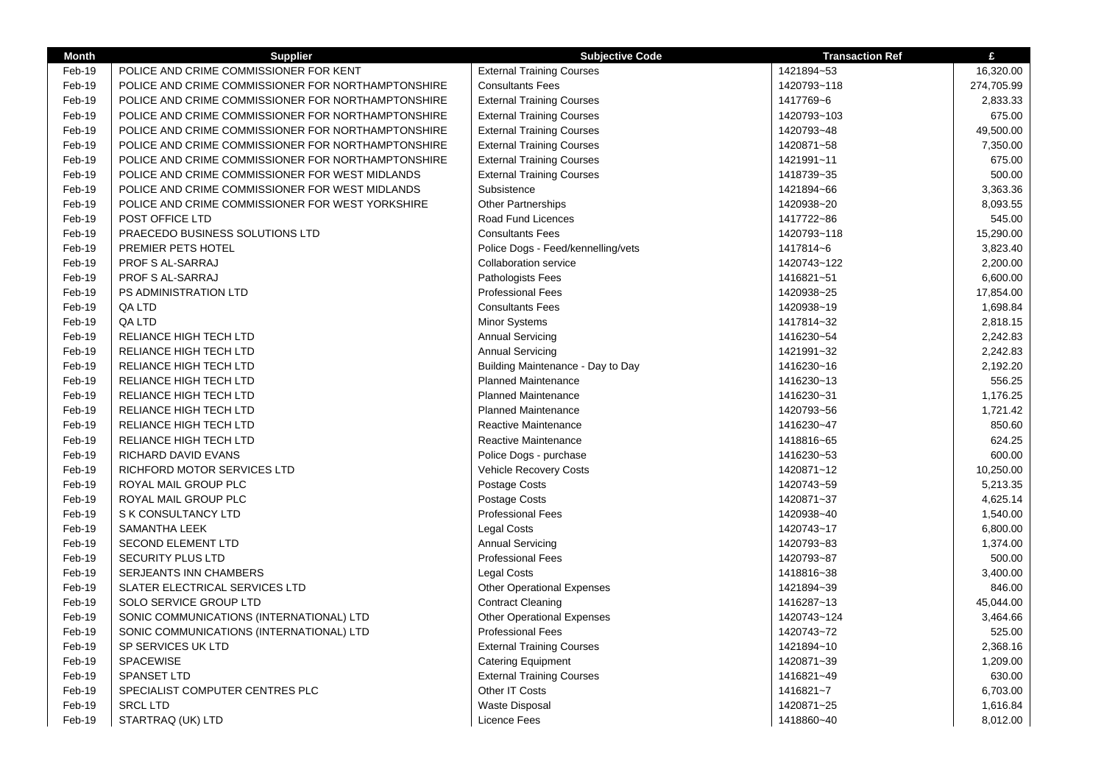| <b>Month</b> | <b>Supplier</b>                                    | <b>Subjective Code</b>             | <b>Transaction Ref</b> | £          |
|--------------|----------------------------------------------------|------------------------------------|------------------------|------------|
| Feb-19       | POLICE AND CRIME COMMISSIONER FOR KENT             | <b>External Training Courses</b>   | 1421894~53             | 16,320.00  |
| Feb-19       | POLICE AND CRIME COMMISSIONER FOR NORTHAMPTONSHIRE | <b>Consultants Fees</b>            | 1420793~118            | 274,705.99 |
| Feb-19       | POLICE AND CRIME COMMISSIONER FOR NORTHAMPTONSHIRE | <b>External Training Courses</b>   | 1417769~6              | 2,833.33   |
| Feb-19       | POLICE AND CRIME COMMISSIONER FOR NORTHAMPTONSHIRE | <b>External Training Courses</b>   | 1420793~103            | 675.00     |
| Feb-19       | POLICE AND CRIME COMMISSIONER FOR NORTHAMPTONSHIRE | <b>External Training Courses</b>   | 1420793~48             | 49,500.00  |
| Feb-19       | POLICE AND CRIME COMMISSIONER FOR NORTHAMPTONSHIRE | <b>External Training Courses</b>   | 1420871~58             | 7,350.00   |
| Feb-19       | POLICE AND CRIME COMMISSIONER FOR NORTHAMPTONSHIRE | <b>External Training Courses</b>   | 1421991~11             | 675.00     |
| Feb-19       | POLICE AND CRIME COMMISSIONER FOR WEST MIDLANDS    | <b>External Training Courses</b>   | 1418739~35             | 500.00     |
| Feb-19       | POLICE AND CRIME COMMISSIONER FOR WEST MIDLANDS    | Subsistence                        | 1421894~66             | 3,363.36   |
| Feb-19       | POLICE AND CRIME COMMISSIONER FOR WEST YORKSHIRE   | <b>Other Partnerships</b>          | 1420938~20             | 8,093.55   |
| Feb-19       | POST OFFICE LTD                                    | Road Fund Licences                 | 1417722~86             | 545.00     |
| Feb-19       | PRAECEDO BUSINESS SOLUTIONS LTD                    | <b>Consultants Fees</b>            | 1420793~118            | 15,290.00  |
| Feb-19       | PREMIER PETS HOTEL                                 | Police Dogs - Feed/kennelling/vets | 1417814~6              | 3,823.40   |
| Feb-19       | PROF S AL-SARRAJ                                   | <b>Collaboration service</b>       | 1420743~122            | 2,200.00   |
| Feb-19       | PROF S AL-SARRAJ                                   | Pathologists Fees                  | 1416821~51             | 6,600.00   |
| Feb-19       | PS ADMINISTRATION LTD                              | <b>Professional Fees</b>           | 1420938~25             | 17,854.00  |
| Feb-19       | QA LTD                                             | <b>Consultants Fees</b>            | 1420938~19             | 1,698.84   |
| Feb-19       | QA LTD                                             | <b>Minor Systems</b>               | 1417814~32             | 2,818.15   |
| Feb-19       | RELIANCE HIGH TECH LTD                             | <b>Annual Servicing</b>            | 1416230~54             | 2,242.83   |
| Feb-19       | <b>RELIANCE HIGH TECH LTD</b>                      | <b>Annual Servicing</b>            | 1421991~32             | 2,242.83   |
| Feb-19       | RELIANCE HIGH TECH LTD                             | Building Maintenance - Day to Day  | 1416230~16             | 2,192.20   |
| Feb-19       | <b>RELIANCE HIGH TECH LTD</b>                      | Planned Maintenance                | 1416230~13             | 556.25     |
| Feb-19       | <b>RELIANCE HIGH TECH LTD</b>                      | <b>Planned Maintenance</b>         | 1416230~31             | 1,176.25   |
| Feb-19       | <b>RELIANCE HIGH TECH LTD</b>                      | <b>Planned Maintenance</b>         | 1420793~56             | 1,721.42   |
| Feb-19       | RELIANCE HIGH TECH LTD                             | Reactive Maintenance               | 1416230~47             | 850.60     |
| Feb-19       | RELIANCE HIGH TECH LTD                             | Reactive Maintenance               | 1418816~65             | 624.25     |
| Feb-19       | RICHARD DAVID EVANS                                | Police Dogs - purchase             | 1416230~53             | 600.00     |
| Feb-19       | RICHFORD MOTOR SERVICES LTD                        | Vehicle Recovery Costs             | 1420871~12             | 10,250.00  |
| Feb-19       | ROYAL MAIL GROUP PLC                               | Postage Costs                      | 1420743~59             | 5,213.35   |
| Feb-19       | ROYAL MAIL GROUP PLC                               | Postage Costs                      | 1420871~37             | 4,625.14   |
| Feb-19       | S K CONSULTANCY LTD                                | <b>Professional Fees</b>           | 1420938~40             | 1,540.00   |
| Feb-19       | SAMANTHA LEEK                                      | Legal Costs                        | 1420743~17             | 6,800.00   |
| Feb-19       | <b>SECOND ELEMENT LTD</b>                          | <b>Annual Servicing</b>            | 1420793~83             | 1,374.00   |
| Feb-19       | SECURITY PLUS LTD                                  | <b>Professional Fees</b>           | 1420793~87             | 500.00     |
| Feb-19       | SERJEANTS INN CHAMBERS                             | Legal Costs                        | 1418816~38             | 3,400.00   |
| Feb-19       | SLATER ELECTRICAL SERVICES LTD                     | <b>Other Operational Expenses</b>  | 1421894~39             | 846.00     |
| Feb-19       | SOLO SERVICE GROUP LTD                             | <b>Contract Cleaning</b>           | 1416287~13             | 45,044.00  |
| Feb-19       | SONIC COMMUNICATIONS (INTERNATIONAL) LTD           | <b>Other Operational Expenses</b>  | 1420743~124            | 3,464.66   |
| Feb-19       | SONIC COMMUNICATIONS (INTERNATIONAL) LTD           | <b>Professional Fees</b>           | 1420743~72             | 525.00     |
| Feb-19       | SP SERVICES UK LTD                                 | <b>External Training Courses</b>   | 1421894~10             | 2,368.16   |
| Feb-19       | SPACEWISE                                          | <b>Catering Equipment</b>          | 1420871~39             | 1,209.00   |
| Feb-19       | SPANSET LTD                                        | <b>External Training Courses</b>   | 1416821~49             | 630.00     |
| Feb-19       | SPECIALIST COMPUTER CENTRES PLC                    | Other IT Costs                     | 1416821~7              | 6,703.00   |
| Feb-19       | <b>SRCL LTD</b>                                    | <b>Waste Disposal</b>              | 1420871~25             | 1,616.84   |
| Feb-19       | STARTRAQ (UK) LTD                                  | Licence Fees                       | 1418860~40             | 8,012.00   |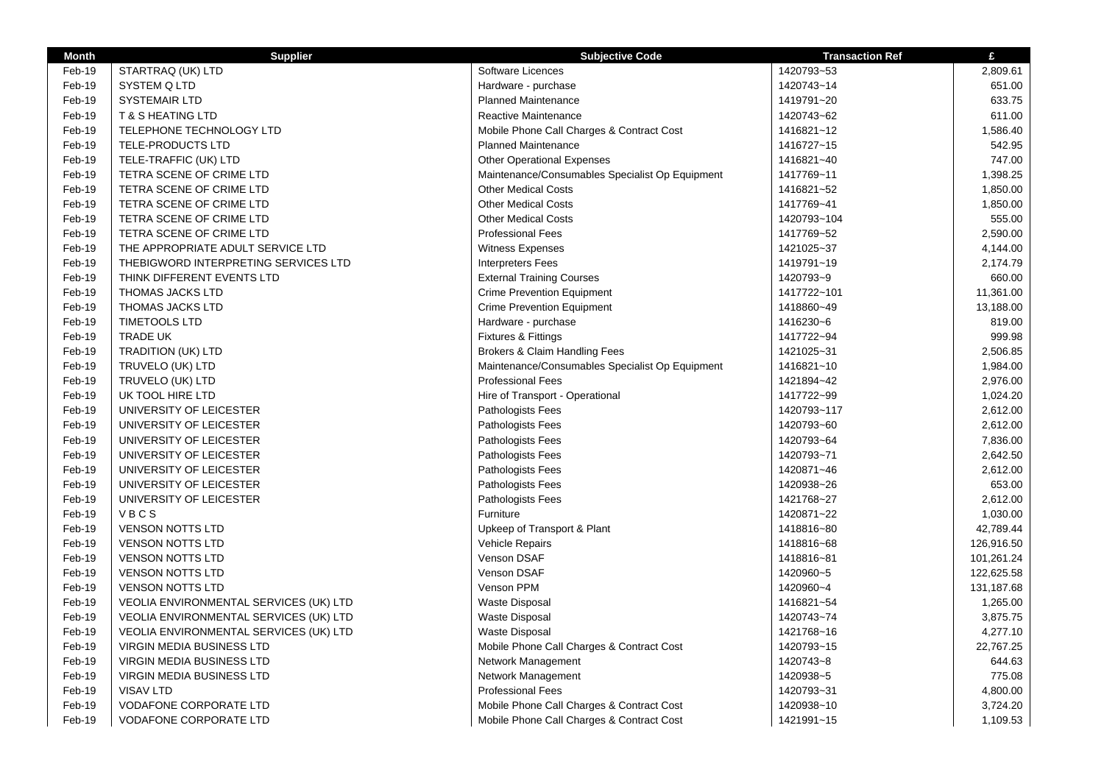| <b>Month</b> | <b>Supplier</b>                        | <b>Subjective Code</b>                          | <b>Transaction Ref</b> | £          |
|--------------|----------------------------------------|-------------------------------------------------|------------------------|------------|
| Feb-19       | STARTRAQ (UK) LTD                      | Software Licences                               | 1420793~53             | 2,809.61   |
| Feb-19       | SYSTEM Q LTD                           | Hardware - purchase                             | 1420743~14             | 651.00     |
| Feb-19       | <b>SYSTEMAIR LTD</b>                   | <b>Planned Maintenance</b>                      | 1419791~20             | 633.75     |
| Feb-19       | <b>T &amp; S HEATING LTD</b>           | Reactive Maintenance                            | 1420743~62             | 611.00     |
| Feb-19       | TELEPHONE TECHNOLOGY LTD               | Mobile Phone Call Charges & Contract Cost       | 1416821~12             | 1,586.40   |
| Feb-19       | TELE-PRODUCTS LTD                      | <b>Planned Maintenance</b>                      | 1416727~15             | 542.95     |
| Feb-19       | TELE-TRAFFIC (UK) LTD                  | <b>Other Operational Expenses</b>               | 1416821~40             | 747.00     |
| Feb-19       | TETRA SCENE OF CRIME LTD               | Maintenance/Consumables Specialist Op Equipment | 1417769~11             | 1,398.25   |
| Feb-19       | TETRA SCENE OF CRIME LTD               | <b>Other Medical Costs</b>                      | 1416821~52             | 1,850.00   |
| Feb-19       | TETRA SCENE OF CRIME LTD               | <b>Other Medical Costs</b>                      | 1417769~41             | 1,850.00   |
| Feb-19       | TETRA SCENE OF CRIME LTD               | <b>Other Medical Costs</b>                      | 1420793~104            | 555.00     |
| Feb-19       | TETRA SCENE OF CRIME LTD               | <b>Professional Fees</b>                        | 1417769~52             | 2,590.00   |
| Feb-19       | THE APPROPRIATE ADULT SERVICE LTD      | <b>Witness Expenses</b>                         | 1421025~37             | 4,144.00   |
| Feb-19       | THEBIGWORD INTERPRETING SERVICES LTD   | <b>Interpreters Fees</b>                        | 1419791~19             | 2,174.79   |
| Feb-19       | THINK DIFFERENT EVENTS LTD             | <b>External Training Courses</b>                | 1420793~9              | 660.00     |
| Feb-19       | THOMAS JACKS LTD                       | <b>Crime Prevention Equipment</b>               | 1417722~101            | 11,361.00  |
| Feb-19       | <b>THOMAS JACKS LTD</b>                | <b>Crime Prevention Equipment</b>               | 1418860~49             | 13,188.00  |
| Feb-19       | <b>TIMETOOLS LTD</b>                   | Hardware - purchase                             | 1416230~6              | 819.00     |
| Feb-19       | <b>TRADE UK</b>                        | Fixtures & Fittings                             | 1417722~94             | 999.98     |
| Feb-19       | <b>TRADITION (UK) LTD</b>              | Brokers & Claim Handling Fees                   | 1421025~31             | 2,506.85   |
| Feb-19       | TRUVELO (UK) LTD                       | Maintenance/Consumables Specialist Op Equipment | 1416821~10             | 1,984.00   |
| Feb-19       | TRUVELO (UK) LTD                       | <b>Professional Fees</b>                        | 1421894~42             | 2,976.00   |
| Feb-19       | UK TOOL HIRE LTD                       | Hire of Transport - Operational                 | 1417722~99             | 1,024.20   |
| Feb-19       | UNIVERSITY OF LEICESTER                | Pathologists Fees                               | 1420793~117            | 2,612.00   |
| Feb-19       | UNIVERSITY OF LEICESTER                | Pathologists Fees                               | 1420793~60             | 2,612.00   |
| Feb-19       | UNIVERSITY OF LEICESTER                | Pathologists Fees                               | 1420793~64             | 7,836.00   |
| Feb-19       | UNIVERSITY OF LEICESTER                | Pathologists Fees                               | 1420793~71             | 2,642.50   |
| Feb-19       | UNIVERSITY OF LEICESTER                | Pathologists Fees                               | 1420871~46             | 2,612.00   |
| Feb-19       | UNIVERSITY OF LEICESTER                | Pathologists Fees                               | 1420938~26             | 653.00     |
| Feb-19       | UNIVERSITY OF LEICESTER                | Pathologists Fees                               | 1421768~27             | 2,612.00   |
| Feb-19       | VBCS                                   | Furniture                                       | 1420871~22             | 1,030.00   |
| Feb-19       | <b>VENSON NOTTS LTD</b>                | Upkeep of Transport & Plant                     | 1418816~80             | 42,789.44  |
| Feb-19       | <b>VENSON NOTTS LTD</b>                | <b>Vehicle Repairs</b>                          | 1418816~68             | 126,916.50 |
| Feb-19       | <b>VENSON NOTTS LTD</b>                | Venson DSAF                                     | 1418816~81             | 101,261.24 |
| Feb-19       | <b>VENSON NOTTS LTD</b>                | Venson DSAF                                     | 1420960~5              | 122,625.58 |
| Feb-19       | <b>VENSON NOTTS LTD</b>                | Venson PPM                                      | 1420960~4              | 131,187.68 |
| Feb-19       | VEOLIA ENVIRONMENTAL SERVICES (UK) LTD | <b>Waste Disposal</b>                           | 1416821~54             | 1,265.00   |
| Feb-19       | VEOLIA ENVIRONMENTAL SERVICES (UK) LTD | <b>Waste Disposal</b>                           | 1420743~74             | 3,875.75   |
| Feb-19       | VEOLIA ENVIRONMENTAL SERVICES (UK) LTD | <b>Waste Disposal</b>                           | 1421768~16             | 4,277.10   |
| Feb-19       | VIRGIN MEDIA BUSINESS LTD              | Mobile Phone Call Charges & Contract Cost       | 1420793~15             | 22,767.25  |
| Feb-19       | VIRGIN MEDIA BUSINESS LTD              | Network Management                              | 1420743~8              | 644.63     |
| Feb-19       | VIRGIN MEDIA BUSINESS LTD              | Network Management                              | 1420938~5              | 775.08     |
| Feb-19       | <b>VISAV LTD</b>                       | <b>Professional Fees</b>                        | 1420793~31             | 4,800.00   |
| Feb-19       | <b>VODAFONE CORPORATE LTD</b>          | Mobile Phone Call Charges & Contract Cost       | 1420938~10             | 3,724.20   |
| Feb-19       | <b>VODAFONE CORPORATE LTD</b>          | Mobile Phone Call Charges & Contract Cost       | 1421991~15             | 1,109.53   |